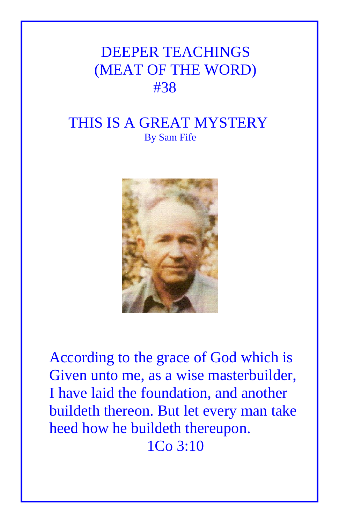## DEEPER TEACHINGS (MEAT OF THE WORD) #38

## THIS IS A GREAT MYSTERY By Sam Fife



According to the grace of God which is Given unto me, as a wise masterbuilder, I have laid the foundation, and another buildeth thereon. But let every man take heed how he buildeth thereupon. 1Co 3:10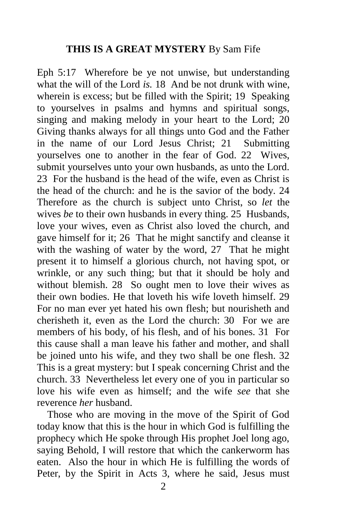## **THIS IS A GREAT MYSTERY** By Sam Fife

Eph 5:17 Wherefore be ye not unwise, but understanding what the will of the Lord *is.* 18 And be not drunk with wine, wherein is excess; but be filled with the Spirit; 19 Speaking to yourselves in psalms and hymns and spiritual songs, singing and making melody in your heart to the Lord; 20 Giving thanks always for all things unto God and the Father in the name of our Lord Jesus Christ; 21 Submitting yourselves one to another in the fear of God. 22 Wives, submit yourselves unto your own husbands, as unto the Lord. 23 For the husband is the head of the wife, even as Christ is the head of the church: and he is the savior of the body. 24 Therefore as the church is subject unto Christ, so *let* the wives *be* to their own husbands in every thing. 25 Husbands, love your wives, even as Christ also loved the church, and gave himself for it; 26 That he might sanctify and cleanse it with the washing of water by the word, 27 That he might present it to himself a glorious church, not having spot, or wrinkle, or any such thing; but that it should be holy and without blemish. 28 So ought men to love their wives as their own bodies. He that loveth his wife loveth himself. 29 For no man ever yet hated his own flesh; but nourisheth and cherisheth it, even as the Lord the church: 30 For we are members of his body, of his flesh, and of his bones. 31 For this cause shall a man leave his father and mother, and shall be joined unto his wife, and they two shall be one flesh. 32 This is a great mystery: but I speak concerning Christ and the church. 33 Nevertheless let every one of you in particular so love his wife even as himself; and the wife *see* that she reverence *her* husband.

 Those who are moving in the move of the Spirit of God today know that this is the hour in which God is fulfilling the prophecy which He spoke through His prophet Joel long ago, saying Behold, I will restore that which the cankerworm has eaten. Also the hour in which He is fulfilling the words of Peter, by the Spirit in Acts 3, where he said, Jesus must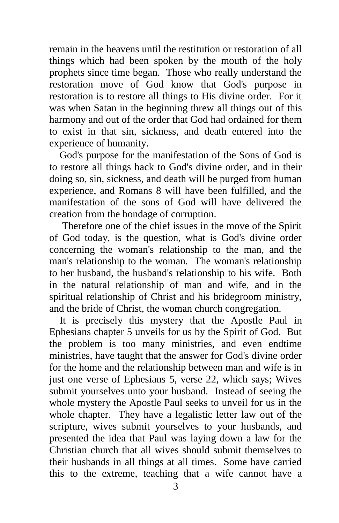remain in the heavens until the restitution or restoration of all things which had been spoken by the mouth of the holy prophets since time began. Those who really understand the restoration move of God know that God's purpose in restoration is to restore all things to His divine order. For it was when Satan in the beginning threw all things out of this harmony and out of the order that God had ordained for them to exist in that sin, sickness, and death entered into the experience of humanity.

 God's purpose for the manifestation of the Sons of God is to restore all things back to God's divine order, and in their doing so, sin, sickness, and death will be purged from human experience, and Romans 8 will have been fulfilled, and the manifestation of the sons of God will have delivered the creation from the bondage of corruption.

 Therefore one of the chief issues in the move of the Spirit of God today, is the question, what is God's divine order concerning the woman's relationship to the man, and the man's relationship to the woman. The woman's relationship to her husband, the husband's relationship to his wife. Both in the natural relationship of man and wife, and in the spiritual relationship of Christ and his bridegroom ministry, and the bride of Christ, the woman church congregation.

 It is precisely this mystery that the Apostle Paul in Ephesians chapter 5 unveils for us by the Spirit of God. But the problem is too many ministries, and even endtime ministries, have taught that the answer for God's divine order for the home and the relationship between man and wife is in just one verse of Ephesians 5, verse 22, which says; Wives submit yourselves unto your husband. Instead of seeing the whole mystery the Apostle Paul seeks to unveil for us in the whole chapter. They have a legalistic letter law out of the scripture, wives submit yourselves to your husbands, and presented the idea that Paul was laying down a law for the Christian church that all wives should submit themselves to their husbands in all things at all times. Some have carried this to the extreme, teaching that a wife cannot have a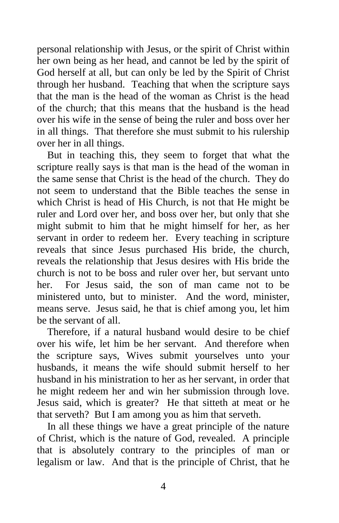personal relationship with Jesus, or the spirit of Christ within her own being as her head, and cannot be led by the spirit of God herself at all, but can only be led by the Spirit of Christ through her husband. Teaching that when the scripture says that the man is the head of the woman as Christ is the head of the church; that this means that the husband is the head over his wife in the sense of being the ruler and boss over her in all things. That therefore she must submit to his rulership over her in all things.

 But in teaching this, they seem to forget that what the scripture really says is that man is the head of the woman in the same sense that Christ is the head of the church. They do not seem to understand that the Bible teaches the sense in which Christ is head of His Church, is not that He might be ruler and Lord over her, and boss over her, but only that she might submit to him that he might himself for her, as her servant in order to redeem her. Every teaching in scripture reveals that since Jesus purchased His bride, the church, reveals the relationship that Jesus desires with His bride the church is not to be boss and ruler over her, but servant unto her. For Jesus said, the son of man came not to be ministered unto, but to minister. And the word, minister, means serve. Jesus said, he that is chief among you, let him be the servant of all.

 Therefore, if a natural husband would desire to be chief over his wife, let him be her servant. And therefore when the scripture says, Wives submit yourselves unto your husbands, it means the wife should submit herself to her husband in his ministration to her as her servant, in order that he might redeem her and win her submission through love. Jesus said, which is greater? He that sitteth at meat or he that serveth? But I am among you as him that serveth.

 In all these things we have a great principle of the nature of Christ, which is the nature of God, revealed. A principle that is absolutely contrary to the principles of man or legalism or law. And that is the principle of Christ, that he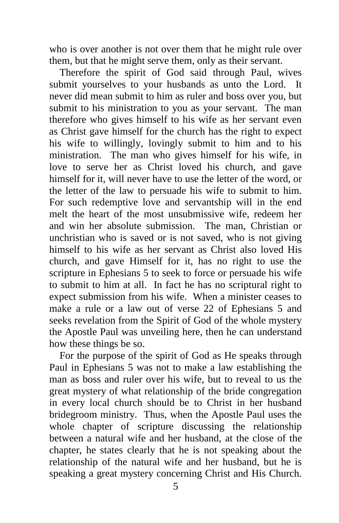who is over another is not over them that he might rule over them, but that he might serve them, only as their servant.

 Therefore the spirit of God said through Paul, wives submit yourselves to your husbands as unto the Lord. It never did mean submit to him as ruler and boss over you, but submit to his ministration to you as your servant. The man therefore who gives himself to his wife as her servant even as Christ gave himself for the church has the right to expect his wife to willingly, lovingly submit to him and to his ministration. The man who gives himself for his wife, in love to serve her as Christ loved his church, and gave himself for it, will never have to use the letter of the word, or the letter of the law to persuade his wife to submit to him. For such redemptive love and servantship will in the end melt the heart of the most unsubmissive wife, redeem her and win her absolute submission. The man, Christian or unchristian who is saved or is not saved, who is not giving himself to his wife as her servant as Christ also loved His church, and gave Himself for it, has no right to use the scripture in Ephesians 5 to seek to force or persuade his wife to submit to him at all. In fact he has no scriptural right to expect submission from his wife. When a minister ceases to make a rule or a law out of verse 22 of Ephesians 5 and seeks revelation from the Spirit of God of the whole mystery the Apostle Paul was unveiling here, then he can understand how these things be so.

 For the purpose of the spirit of God as He speaks through Paul in Ephesians 5 was not to make a law establishing the man as boss and ruler over his wife, but to reveal to us the great mystery of what relationship of the bride congregation in every local church should be to Christ in her husband bridegroom ministry. Thus, when the Apostle Paul uses the whole chapter of scripture discussing the relationship between a natural wife and her husband, at the close of the chapter, he states clearly that he is not speaking about the relationship of the natural wife and her husband, but he is speaking a great mystery concerning Christ and His Church.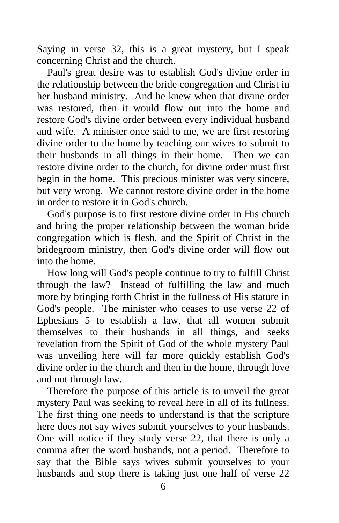Saying in verse 32, this is a great mystery, but I speak concerning Christ and the church.

 Paul's great desire was to establish God's divine order in the relationship between the bride congregation and Christ in her husband ministry. And he knew when that divine order was restored, then it would flow out into the home and restore God's divine order between every individual husband and wife. A minister once said to me, we are first restoring divine order to the home by teaching our wives to submit to their husbands in all things in their home. Then we can restore divine order to the church, for divine order must first begin in the home. This precious minister was very sincere, but very wrong. We cannot restore divine order in the home in order to restore it in God's church.

 God's purpose is to first restore divine order in His church and bring the proper relationship between the woman bride congregation which is flesh, and the Spirit of Christ in the bridegroom ministry, then God's divine order will flow out into the home.

 How long will God's people continue to try to fulfill Christ through the law? Instead of fulfilling the law and much more by bringing forth Christ in the fullness of His stature in God's people. The minister who ceases to use verse 22 of Ephesians 5 to establish a law, that all women submit themselves to their husbands in all things, and seeks revelation from the Spirit of God of the whole mystery Paul was unveiling here will far more quickly establish God's divine order in the church and then in the home, through love and not through law.

 Therefore the purpose of this article is to unveil the great mystery Paul was seeking to reveal here in all of its fullness. The first thing one needs to understand is that the scripture here does not say wives submit yourselves to your husbands. One will notice if they study verse 22, that there is only a comma after the word husbands, not a period. Therefore to say that the Bible says wives submit yourselves to your husbands and stop there is taking just one half of verse 22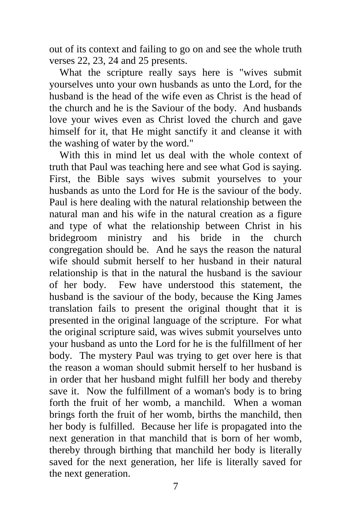out of its context and failing to go on and see the whole truth verses 22, 23, 24 and 25 presents.

 What the scripture really says here is "wives submit yourselves unto your own husbands as unto the Lord, for the husband is the head of the wife even as Christ is the head of the church and he is the Saviour of the body. And husbands love your wives even as Christ loved the church and gave himself for it, that He might sanctify it and cleanse it with the washing of water by the word."

 With this in mind let us deal with the whole context of truth that Paul was teaching here and see what God is saying. First, the Bible says wives submit yourselves to your husbands as unto the Lord for He is the saviour of the body. Paul is here dealing with the natural relationship between the natural man and his wife in the natural creation as a figure and type of what the relationship between Christ in his bridegroom ministry and his bride in the church congregation should be. And he says the reason the natural wife should submit herself to her husband in their natural relationship is that in the natural the husband is the saviour of her body. Few have understood this statement, the husband is the saviour of the body, because the King James translation fails to present the original thought that it is presented in the original language of the scripture. For what the original scripture said, was wives submit yourselves unto your husband as unto the Lord for he is the fulfillment of her body. The mystery Paul was trying to get over here is that the reason a woman should submit herself to her husband is in order that her husband might fulfill her body and thereby save it. Now the fulfillment of a woman's body is to bring forth the fruit of her womb, a manchild. When a woman brings forth the fruit of her womb, births the manchild, then her body is fulfilled. Because her life is propagated into the next generation in that manchild that is born of her womb, thereby through birthing that manchild her body is literally saved for the next generation, her life is literally saved for the next generation.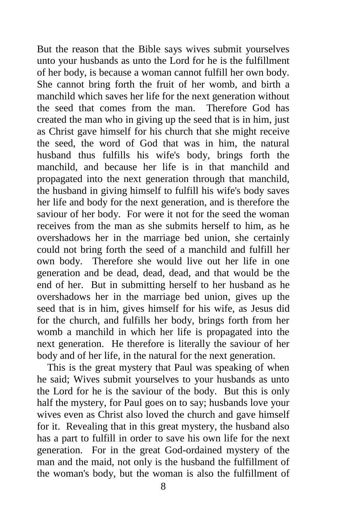But the reason that the Bible says wives submit yourselves unto your husbands as unto the Lord for he is the fulfillment of her body, is because a woman cannot fulfill her own body. She cannot bring forth the fruit of her womb, and birth a manchild which saves her life for the next generation without the seed that comes from the man. Therefore God has created the man who in giving up the seed that is in him, just as Christ gave himself for his church that she might receive the seed, the word of God that was in him, the natural husband thus fulfills his wife's body, brings forth the manchild, and because her life is in that manchild and propagated into the next generation through that manchild, the husband in giving himself to fulfill his wife's body saves her life and body for the next generation, and is therefore the saviour of her body. For were it not for the seed the woman receives from the man as she submits herself to him, as he overshadows her in the marriage bed union, she certainly could not bring forth the seed of a manchild and fulfill her own body. Therefore she would live out her life in one generation and be dead, dead, dead, and that would be the end of her. But in submitting herself to her husband as he overshadows her in the marriage bed union, gives up the seed that is in him, gives himself for his wife, as Jesus did for the church, and fulfills her body, brings forth from her womb a manchild in which her life is propagated into the next generation. He therefore is literally the saviour of her body and of her life, in the natural for the next generation.

 This is the great mystery that Paul was speaking of when he said; Wives submit yourselves to your husbands as unto the Lord for he is the saviour of the body. But this is only half the mystery, for Paul goes on to say; husbands love your wives even as Christ also loved the church and gave himself for it. Revealing that in this great mystery, the husband also has a part to fulfill in order to save his own life for the next generation. For in the great God-ordained mystery of the man and the maid, not only is the husband the fulfillment of the woman's body, but the woman is also the fulfillment of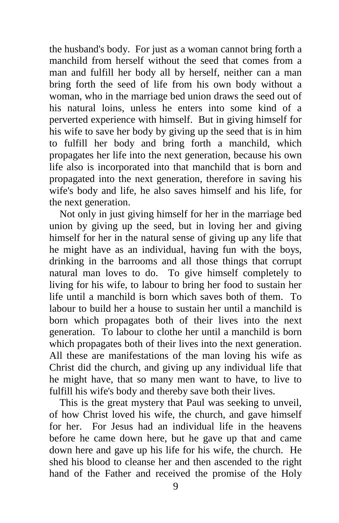the husband's body. For just as a woman cannot bring forth a manchild from herself without the seed that comes from a man and fulfill her body all by herself, neither can a man bring forth the seed of life from his own body without a woman, who in the marriage bed union draws the seed out of his natural loins, unless he enters into some kind of a perverted experience with himself. But in giving himself for his wife to save her body by giving up the seed that is in him to fulfill her body and bring forth a manchild, which propagates her life into the next generation, because his own life also is incorporated into that manchild that is born and propagated into the next generation, therefore in saving his wife's body and life, he also saves himself and his life, for the next generation.

 Not only in just giving himself for her in the marriage bed union by giving up the seed, but in loving her and giving himself for her in the natural sense of giving up any life that he might have as an individual, having fun with the boys, drinking in the barrooms and all those things that corrupt natural man loves to do. To give himself completely to living for his wife, to labour to bring her food to sustain her life until a manchild is born which saves both of them. To labour to build her a house to sustain her until a manchild is born which propagates both of their lives into the next generation. To labour to clothe her until a manchild is born which propagates both of their lives into the next generation. All these are manifestations of the man loving his wife as Christ did the church, and giving up any individual life that he might have, that so many men want to have, to live to fulfill his wife's body and thereby save both their lives.

 This is the great mystery that Paul was seeking to unveil, of how Christ loved his wife, the church, and gave himself for her. For Jesus had an individual life in the heavens before he came down here, but he gave up that and came down here and gave up his life for his wife, the church. He shed his blood to cleanse her and then ascended to the right hand of the Father and received the promise of the Holy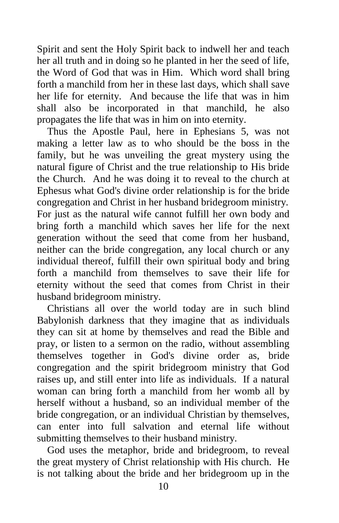Spirit and sent the Holy Spirit back to indwell her and teach her all truth and in doing so he planted in her the seed of life, the Word of God that was in Him. Which word shall bring forth a manchild from her in these last days, which shall save her life for eternity. And because the life that was in him shall also be incorporated in that manchild, he also propagates the life that was in him on into eternity.

 Thus the Apostle Paul, here in Ephesians 5, was not making a letter law as to who should be the boss in the family, but he was unveiling the great mystery using the natural figure of Christ and the true relationship to His bride the Church. And he was doing it to reveal to the church at Ephesus what God's divine order relationship is for the bride congregation and Christ in her husband bridegroom ministry. For just as the natural wife cannot fulfill her own body and bring forth a manchild which saves her life for the next generation without the seed that come from her husband, neither can the bride congregation, any local church or any individual thereof, fulfill their own spiritual body and bring forth a manchild from themselves to save their life for eternity without the seed that comes from Christ in their husband bridegroom ministry.

 Christians all over the world today are in such blind Babylonish darkness that they imagine that as individuals they can sit at home by themselves and read the Bible and pray, or listen to a sermon on the radio, without assembling themselves together in God's divine order as, bride congregation and the spirit bridegroom ministry that God raises up, and still enter into life as individuals. If a natural woman can bring forth a manchild from her womb all by herself without a husband, so an individual member of the bride congregation, or an individual Christian by themselves, can enter into full salvation and eternal life without submitting themselves to their husband ministry.

 God uses the metaphor, bride and bridegroom, to reveal the great mystery of Christ relationship with His church. He is not talking about the bride and her bridegroom up in the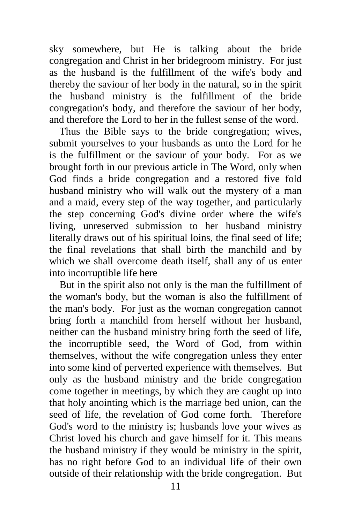sky somewhere, but He is talking about the bride congregation and Christ in her bridegroom ministry. For just as the husband is the fulfillment of the wife's body and thereby the saviour of her body in the natural, so in the spirit the husband ministry is the fulfillment of the bride congregation's body, and therefore the saviour of her body, and therefore the Lord to her in the fullest sense of the word.

 Thus the Bible says to the bride congregation; wives, submit yourselves to your husbands as unto the Lord for he is the fulfillment or the saviour of your body. For as we brought forth in our previous article in The Word, only when God finds a bride congregation and a restored five fold husband ministry who will walk out the mystery of a man and a maid, every step of the way together, and particularly the step concerning God's divine order where the wife's living, unreserved submission to her husband ministry literally draws out of his spiritual loins, the final seed of life; the final revelations that shall birth the manchild and by which we shall overcome death itself, shall any of us enter into incorruptible life here

 But in the spirit also not only is the man the fulfillment of the woman's body, but the woman is also the fulfillment of the man's body. For just as the woman congregation cannot bring forth a manchild from herself without her husband, neither can the husband ministry bring forth the seed of life, the incorruptible seed, the Word of God, from within themselves, without the wife congregation unless they enter into some kind of perverted experience with themselves. But only as the husband ministry and the bride congregation come together in meetings, by which they are caught up into that holy anointing which is the marriage bed union, can the seed of life, the revelation of God come forth. Therefore God's word to the ministry is; husbands love your wives as Christ loved his church and gave himself for it. This means the husband ministry if they would be ministry in the spirit, has no right before God to an individual life of their own outside of their relationship with the bride congregation. But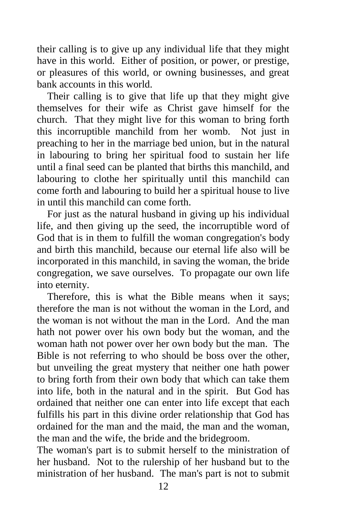their calling is to give up any individual life that they might have in this world. Either of position, or power, or prestige, or pleasures of this world, or owning businesses, and great bank accounts in this world.

 Their calling is to give that life up that they might give themselves for their wife as Christ gave himself for the church. That they might live for this woman to bring forth this incorruptible manchild from her womb. Not just in preaching to her in the marriage bed union, but in the natural in labouring to bring her spiritual food to sustain her life until a final seed can be planted that births this manchild, and labouring to clothe her spiritually until this manchild can come forth and labouring to build her a spiritual house to live in until this manchild can come forth.

 For just as the natural husband in giving up his individual life, and then giving up the seed, the incorruptible word of God that is in them to fulfill the woman congregation's body and birth this manchild, because our eternal life also will be incorporated in this manchild, in saving the woman, the bride congregation, we save ourselves. To propagate our own life into eternity.

 Therefore, this is what the Bible means when it says; therefore the man is not without the woman in the Lord, and the woman is not without the man in the Lord. And the man hath not power over his own body but the woman, and the woman hath not power over her own body but the man. The Bible is not referring to who should be boss over the other, but unveiling the great mystery that neither one hath power to bring forth from their own body that which can take them into life, both in the natural and in the spirit. But God has ordained that neither one can enter into life except that each fulfills his part in this divine order relationship that God has ordained for the man and the maid, the man and the woman, the man and the wife, the bride and the bridegroom.

The woman's part is to submit herself to the ministration of her husband. Not to the rulership of her husband but to the ministration of her husband. The man's part is not to submit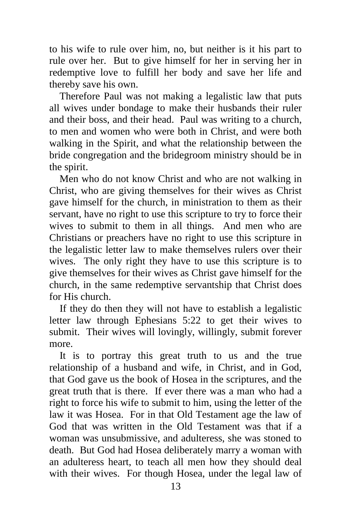to his wife to rule over him, no, but neither is it his part to rule over her. But to give himself for her in serving her in redemptive love to fulfill her body and save her life and thereby save his own.

 Therefore Paul was not making a legalistic law that puts all wives under bondage to make their husbands their ruler and their boss, and their head. Paul was writing to a church, to men and women who were both in Christ, and were both walking in the Spirit, and what the relationship between the bride congregation and the bridegroom ministry should be in the spirit.

 Men who do not know Christ and who are not walking in Christ, who are giving themselves for their wives as Christ gave himself for the church, in ministration to them as their servant, have no right to use this scripture to try to force their wives to submit to them in all things. And men who are Christians or preachers have no right to use this scripture in the legalistic letter law to make themselves rulers over their wives. The only right they have to use this scripture is to give themselves for their wives as Christ gave himself for the church, in the same redemptive servantship that Christ does for His church.

 If they do then they will not have to establish a legalistic letter law through Ephesians 5:22 to get their wives to submit. Their wives will lovingly, willingly, submit forever more.

 It is to portray this great truth to us and the true relationship of a husband and wife, in Christ, and in God, that God gave us the book of Hosea in the scriptures, and the great truth that is there. If ever there was a man who had a right to force his wife to submit to him, using the letter of the law it was Hosea. For in that Old Testament age the law of God that was written in the Old Testament was that if a woman was unsubmissive, and adulteress, she was stoned to death. But God had Hosea deliberately marry a woman with an adulteress heart, to teach all men how they should deal with their wives. For though Hosea, under the legal law of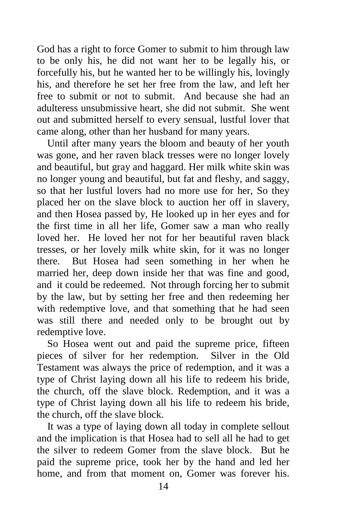God has a right to force Gomer to submit to him through law to be only his, he did not want her to be legally his, or forcefully his, but he wanted her to be willingly his, lovingly his, and therefore he set her free from the law, and left her free to submit or not to submit. And because she had an adulteress unsubmissive heart, she did not submit. She went out and submitted herself to every sensual, lustful lover that came along, other than her husband for many years.

 Until after many years the bloom and beauty of her youth was gone, and her raven black tresses were no longer lovely and beautiful, but gray and haggard. Her milk white skin was no longer young and beautiful, but fat and fleshy, and saggy, so that her lustful lovers had no more use for her, So they placed her on the slave block to auction her off in slavery, and then Hosea passed by, He looked up in her eyes and for the first time in all her life, Gomer saw a man who really loved her. He loved her not for her beautiful raven black tresses, or her lovely milk white skin, for it was no longer there. But Hosea had seen something in her when he married her, deep down inside her that was fine and good, and it could be redeemed. Not through forcing her to submit by the law, but by setting her free and then redeeming her with redemptive love, and that something that he had seen was still there and needed only to be brought out by redemptive love.

 So Hosea went out and paid the supreme price, fifteen pieces of silver for her redemption. Silver in the Old Testament was always the price of redemption, and it was a type of Christ laying down all his life to redeem his bride, the church, off the slave block. Redemption, and it was a type of Christ laying down all his life to redeem his bride, the church, off the slave block.

 It was a type of laying down all today in complete sellout and the implication is that Hosea had to sell all he had to get the silver to redeem Gomer from the slave block. But he paid the supreme price, took her by the hand and led her home, and from that moment on, Gomer was forever his.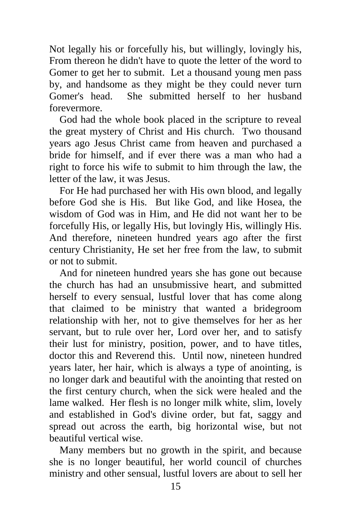Not legally his or forcefully his, but willingly, lovingly his, From thereon he didn't have to quote the letter of the word to Gomer to get her to submit. Let a thousand young men pass by, and handsome as they might be they could never turn Gomer's head. She submitted herself to her husband forevermore.

 God had the whole book placed in the scripture to reveal the great mystery of Christ and His church. Two thousand years ago Jesus Christ came from heaven and purchased a bride for himself, and if ever there was a man who had a right to force his wife to submit to him through the law, the letter of the law, it was Jesus.

 For He had purchased her with His own blood, and legally before God she is His. But like God, and like Hosea, the wisdom of God was in Him, and He did not want her to be forcefully His, or legally His, but lovingly His, willingly His. And therefore, nineteen hundred years ago after the first century Christianity, He set her free from the law, to submit or not to submit.

 And for nineteen hundred years she has gone out because the church has had an unsubmissive heart, and submitted herself to every sensual, lustful lover that has come along that claimed to be ministry that wanted a bridegroom relationship with her, not to give themselves for her as her servant, but to rule over her, Lord over her, and to satisfy their lust for ministry, position, power, and to have titles, doctor this and Reverend this. Until now, nineteen hundred years later, her hair, which is always a type of anointing, is no longer dark and beautiful with the anointing that rested on the first century church, when the sick were healed and the lame walked. Her flesh is no longer milk white, slim, lovely and established in God's divine order, but fat, saggy and spread out across the earth, big horizontal wise, but not beautiful vertical wise.

 Many members but no growth in the spirit, and because she is no longer beautiful, her world council of churches ministry and other sensual, lustful lovers are about to sell her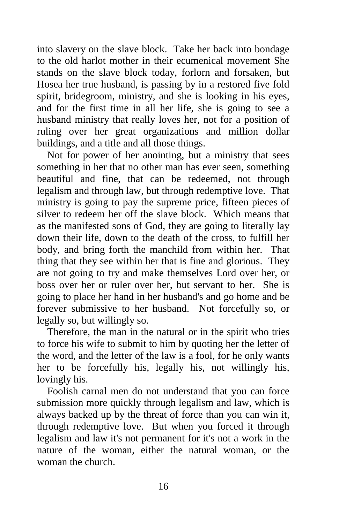into slavery on the slave block. Take her back into bondage to the old harlot mother in their ecumenical movement She stands on the slave block today, forlorn and forsaken, but Hosea her true husband, is passing by in a restored five fold spirit, bridegroom, ministry, and she is looking in his eyes, and for the first time in all her life, she is going to see a husband ministry that really loves her, not for a position of ruling over her great organizations and million dollar buildings, and a title and all those things.

 Not for power of her anointing, but a ministry that sees something in her that no other man has ever seen, something beautiful and fine, that can be redeemed, not through legalism and through law, but through redemptive love. That ministry is going to pay the supreme price, fifteen pieces of silver to redeem her off the slave block. Which means that as the manifested sons of God, they are going to literally lay down their life, down to the death of the cross, to fulfill her body, and bring forth the manchild from within her. That thing that they see within her that is fine and glorious. They are not going to try and make themselves Lord over her, or boss over her or ruler over her, but servant to her. She is going to place her hand in her husband's and go home and be forever submissive to her husband. Not forcefully so, or legally so, but willingly so.

 Therefore, the man in the natural or in the spirit who tries to force his wife to submit to him by quoting her the letter of the word, and the letter of the law is a fool, for he only wants her to be forcefully his, legally his, not willingly his, lovingly his.

 Foolish carnal men do not understand that you can force submission more quickly through legalism and law, which is always backed up by the threat of force than you can win it, through redemptive love. But when you forced it through legalism and law it's not permanent for it's not a work in the nature of the woman, either the natural woman, or the woman the church.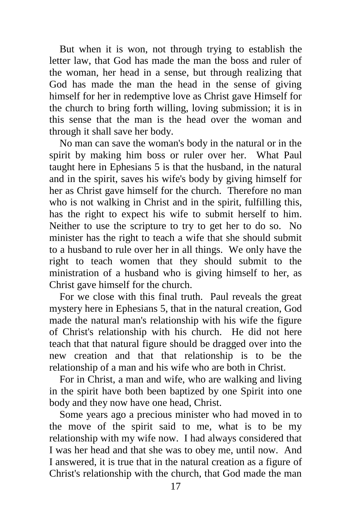But when it is won, not through trying to establish the letter law, that God has made the man the boss and ruler of the woman, her head in a sense, but through realizing that God has made the man the head in the sense of giving himself for her in redemptive love as Christ gave Himself for the church to bring forth willing, loving submission; it is in this sense that the man is the head over the woman and through it shall save her body.

 No man can save the woman's body in the natural or in the spirit by making him boss or ruler over her. What Paul taught here in Ephesians 5 is that the husband, in the natural and in the spirit, saves his wife's body by giving himself for her as Christ gave himself for the church. Therefore no man who is not walking in Christ and in the spirit, fulfilling this, has the right to expect his wife to submit herself to him. Neither to use the scripture to try to get her to do so. No minister has the right to teach a wife that she should submit to a husband to rule over her in all things. We only have the right to teach women that they should submit to the ministration of a husband who is giving himself to her, as Christ gave himself for the church.

 For we close with this final truth. Paul reveals the great mystery here in Ephesians 5, that in the natural creation, God made the natural man's relationship with his wife the figure of Christ's relationship with his church. He did not here teach that that natural figure should be dragged over into the new creation and that that relationship is to be the relationship of a man and his wife who are both in Christ.

 For in Christ, a man and wife, who are walking and living in the spirit have both been baptized by one Spirit into one body and they now have one head, Christ.

 Some years ago a precious minister who had moved in to the move of the spirit said to me, what is to be my relationship with my wife now. I had always considered that I was her head and that she was to obey me, until now. And I answered, it is true that in the natural creation as a figure of Christ's relationship with the church, that God made the man